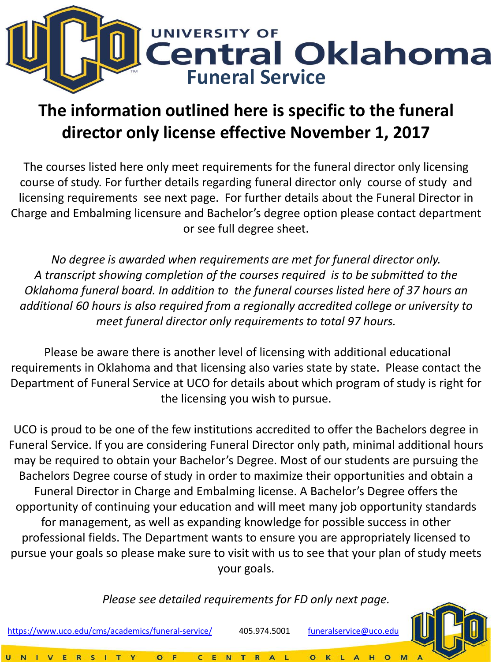

## **The information outlined here is specific to the funeral director only license effective November 1, 2017**

The courses listed here only meet requirements for the funeral director only licensing course of study. For further details regarding funeral director only course of study and licensing requirements see next page. For further details about the Funeral Director in Charge and Embalming licensure and Bachelor's degree option please contact department or see full degree sheet.

*No degree is awarded when requirements are met for funeral director only. A transcript showing completion of the courses required is to be submitted to the Oklahoma funeral board. In addition to the funeral courses listed here of 37 hours an additional 60 hours is also required from a regionally accredited college or university to meet funeral director only requirements to total 97 hours.* 

Department of Funeral Service at UCO for details about which program of study is right for<br>the licensing you wish to pursue. Please be aware there is another level of licensing with additional educational requirements in Oklahoma and that licensing also varies state by state. Please contact the the licensing you wish to pursue.

UCO is proud to be one of the few institutions accredited to offer the Bachelors degree in Funeral Service. If you are considering Funeral Director only path, minimal additional hours may be required to obtain your Bachelor's Degree. Most of our students are pursuing the Bachelors Degree course of study in order to maximize their opportunities and obtain a Funeral Director in Charge and Embalming license. A Bachelor's Degree offers the opportunity of continuing your education and will meet many job opportunity standards for management, as well as expanding knowledge for possible success in other professional fields. The Department wants to ensure you are appropriately licensed to pursue your goals so please make sure to visit with us to see that your plan of study meets your goals.

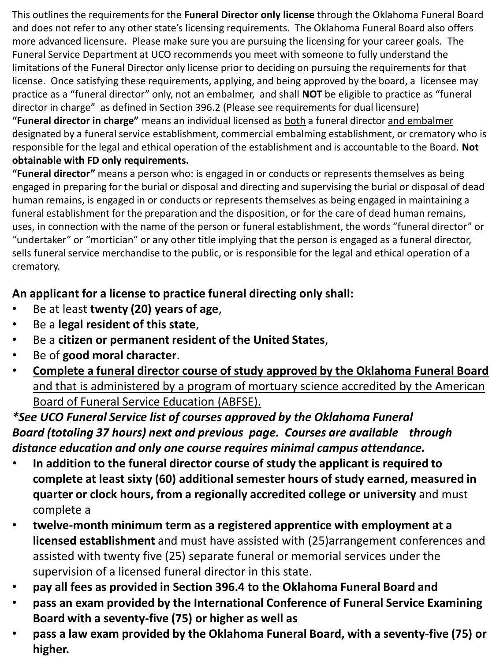This outlines the requirements for the **Funeral Director only license** through the Oklahoma Funeral Board and does not refer to any other state's licensing requirements. The Oklahoma Funeral Board also offers more advanced licensure. Please make sure you are pursuing the licensing for your career goals. The Funeral Service Department at UCO recommends you meet with someone to fully understand the limitations of the Funeral Director only license prior to deciding on pursuing the requirements for that license. Once satisfying these requirements, applying, and being approved by the board, a licensee may practice as a "funeral director" only, not an embalmer, and shall **NOT** be eligible to practice as "funeral director in charge" as defined in Section 396.2 (Please see requirements for dual licensure) **"Funeral director in charge"** means an individual licensed as both a funeral director and embalmer designated by a funeral service establishment, commercial embalming establishment, or crematory who is responsible for the legal and ethical operation of the establishment and is accountable to the Board. **Not obtainable with FD only requirements.** 

**"Funeral director"** means a person who: is engaged in or conducts or represents themselves as being engaged in preparing for the burial or disposal and directing and supervising the burial or disposal of dead human remains, is engaged in or conducts or represents themselves as being engaged in maintaining a funeral establishment for the preparation and the disposition, or for the care of dead human remains, uses, in connection with the name of the person or funeral establishment, the words "funeral director" or "undertaker" or "mortician" or any other title implying that the person is engaged as a funeral director, sells funeral service merchandise to the public, or is responsible for the legal and ethical operation of a crematory.

### **An applicant for a license to practice funeral directing only shall:**

- Be at least **twenty (20) years of age**,
- Be a **legal resident of this state**,
- Be a **citizen or permanent resident of the United States**,
- Be of **good moral character**.
- and that is administered by a program of mortuary science accredited by the American<br>Board of Euneral Service Education (ABESE) • **Complete a funeral director course of study approved by the Oklahoma Funeral Board**  Board of Funeral Service Education (ABFSE).

### *\*See UCO Funeral Service list of courses approved by the Oklahoma Funeral Board (totaling 37 hours) next and previous page. Courses are available through distance education and only one course requires minimal campus attendance.*

- **In addition to the funeral director course of study the applicant is required to complete at least sixty (60) additional semester hours of study earned, measured in quarter or clock hours, from a regionally accredited college or university** and must complete a
- **twelve-month minimum term as a registered apprentice with employment at a licensed establishment** and must have assisted with (25)arrangement conferences and assisted with twenty five (25) separate funeral or memorial services under the supervision of a licensed funeral director in this state.
- **pay all fees as provided in Section 396.4 to the Oklahoma Funeral Board and**
- **pass an exam provided by the International Conference of Funeral Service Examining Board with a seventy-five (75) or higher as well as**
- **pass a law exam provided by the Oklahoma Funeral Board, with a seventy-five (75) or higher.**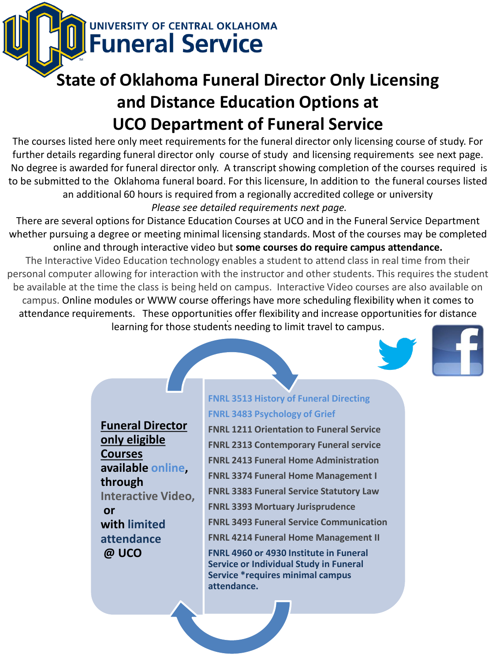**NIVERSITY OF CENTRAL OKLAHOMA Funeral Service** 

# **State of Oklahoma Funeral Director Only Licensing and Distance Education Options at UCO Department of Funeral Service**

The courses listed here only meet requirements for the funeral director only licensing course of study. For further details regarding funeral director only course of study and licensing requirements see next page. No degree is awarded for funeral director only. A transcript showing completion of the courses required is to be submitted to the Oklahoma funeral board. For this licensure, In addition to the funeral courses listed an additional 60 hours is required from a regionally accredited college or university *Please see detailed requirements next page.* 

There are several options for Distance Education Courses at UCO and in the Funeral Service Department whether pursuing a degree or meeting minimal licensing standards. Most of the courses may be completed online and through interactive video but **some courses do require campus attendance.**

The Interactive Video Education technology enables a student to attend class in real time from their personal computer allowing for interaction with the instructor and other students. This requires the student be available at the time the class is being held on campus. Interactive Video courses are also available on campus. Online modules or WWW course offerings have more scheduling flexibility when it comes to attendance requirements. These opportunities offer flexibility and increase opportunities for distance . learning for those students needing to limit travel to campus.

**Funeral Director only eligible Courses available online, through Interactive Video, or with limited attendance @ UCO**

#### **FNRL 3513 History of Funeral Directing FNRL 3483 Psychology of Grief**

**FNRL 1211 Orientation to Funeral Service FNRL 2313 Contemporary Funeral service FNRL 2413 Funeral Home Administration FNRL 3374 Funeral Home Management I FNRL 3383 Funeral Service Statutory Law FNRL 3393 Mortuary Jurisprudence FNRL 3493 Funeral Service Communication FNRL 4214 Funeral Home Management II FNRL 4960 or 4930 Institute in Funeral Service or Individual Study in Funeral Service \*requires minimal campus attendance.**